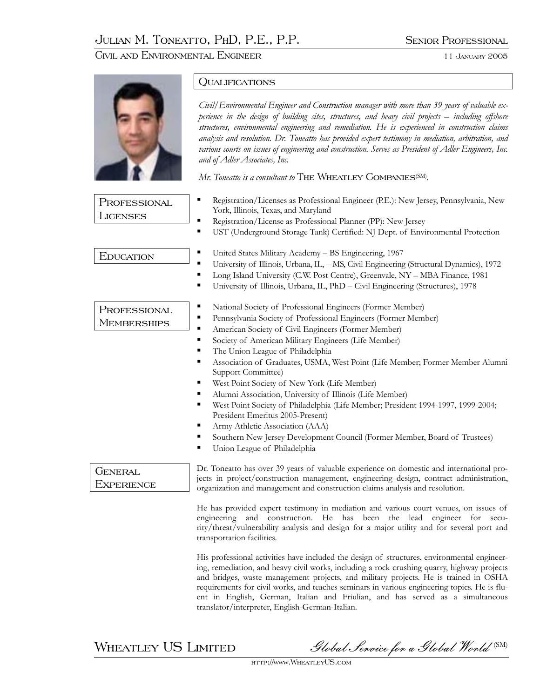Civil and Environmental Engineer 11 January 2005



WHEATLEY US LIMITED Slobal Service for a Global World (SM)

http://www.WheatleyUS.com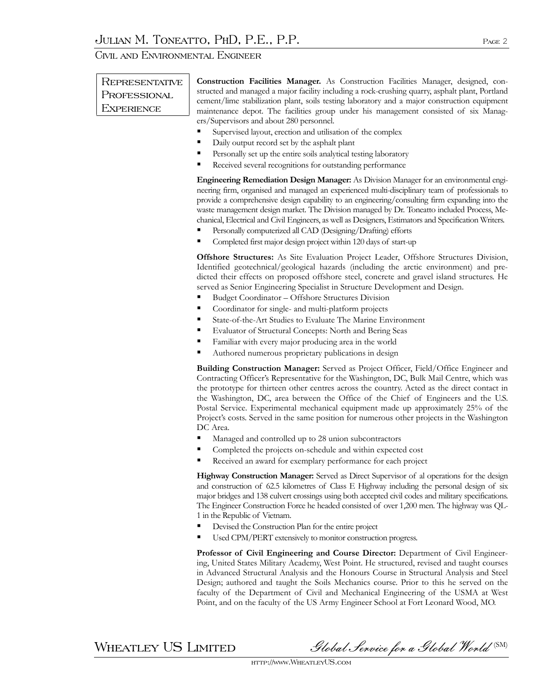Civil and Environmental Engineer

## **REPRESENTATIVE** Professional **EXPERIENCE**

**Construction Facilities Manager.** As Construction Facilities Manager, designed, constructed and managed a major facility including a rock-crushing quarry, asphalt plant, Portland cement/lime stabilization plant, soils testing laboratory and a major construction equipment maintenance depot. The facilities group under his management consisted of six Managers/Supervisors and about 280 personnel.

- Supervised layout, erection and utilisation of the complex
- Daily output record set by the asphalt plant
- **Personally set up the entire soils analytical testing laboratory**
- Received several recognitions for outstanding performance

**Engineering Remediation Design Manager:** As Division Manager for an environmental engineering firm, organised and managed an experienced multi-disciplinary team of professionals to provide a comprehensive design capability to an engineering/consulting firm expanding into the waste management design market. The Division managed by Dr. Toneatto included Process, Mechanical, Electrical and Civil Engineers, as well as Designers, Estimators and Specification Writers.

- Personally computerized all CAD (Designing/Drafting) efforts
- Completed first major design project within 120 days of start-up

**Offshore Structures:** As Site Evaluation Project Leader, Offshore Structures Division, Identified geotechnical/geological hazards (including the arctic environment) and predicted their effects on proposed offshore steel, concrete and gravel island structures. He served as Senior Engineering Specialist in Structure Development and Design.

- Budget Coordinator Offshore Structures Division
- Coordinator for single- and multi-platform projects
- State-of-the-Art Studies to Evaluate The Marine Environment
- **Evaluator of Structural Concepts: North and Bering Seas**
- **Familiar with every major producing area in the world**
- Authored numerous proprietary publications in design

**Building Construction Manager:** Served as Project Officer, Field/Office Engineer and Contracting Officer's Representative for the Washington, DC, Bulk Mail Centre, which was the prototype for thirteen other centres across the country. Acted as the direct contact in the Washington, DC, area between the Office of the Chief of Engineers and the U.S. Postal Service. Experimental mechanical equipment made up approximately 25% of the Project's costs. Served in the same position for numerous other projects in the Washington DC Area.

- **Managed and controlled up to 28 union subcontractors**
- Completed the projects on-schedule and within expected cost
- Received an award for exemplary performance for each project

**Highway Construction Manager:** Served as Direct Supervisor of al operations for the design and construction of 62.5 kilometres of Class E Highway including the personal design of six major bridges and 138 culvert crossings using both accepted civil codes and military specifications. The Engineer Construction Force he headed consisted of over 1,200 men. The highway was QL-1 in the Republic of Vietnam.

- Devised the Construction Plan for the entire project
- Used CPM/PERT extensively to monitor construction progress.

**Professor of Civil Engineering and Course Director:** Department of Civil Engineering, United States Military Academy, West Point. He structured, revised and taught courses in Advanced Structural Analysis and the Honours Course in Structural Analysis and Steel Design; authored and taught the Soils Mechanics course. Prior to this he served on the faculty of the Department of Civil and Mechanical Engineering of the USMA at West Point, and on the faculty of the US Army Engineer School at Fort Leonard Wood, MO.

WHEATLEY US LIMITED Slobal Service for a Global World (SM)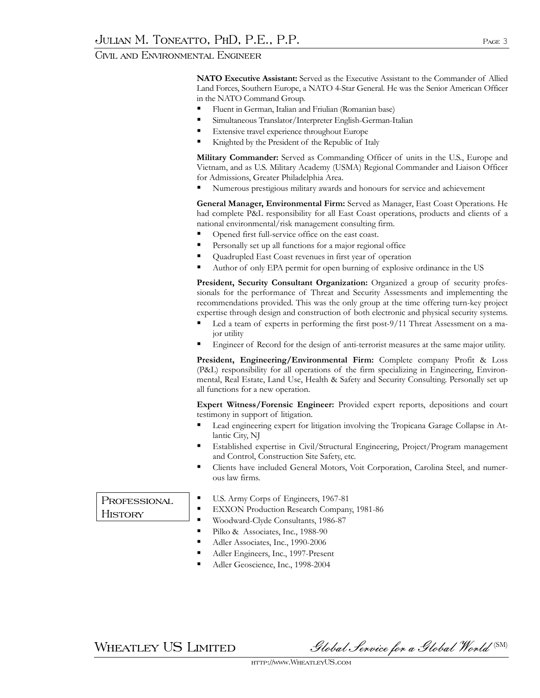Civil and Environmental Engineer

**NATO Executive Assistant:** Served as the Executive Assistant to the Commander of Allied Land Forces, Southern Europe, a NATO 4-Star General. He was the Senior American Officer in the NATO Command Group.

- **Fluent in German, Italian and Friulian (Romanian base)**
- Simultaneous Translator/Interpreter English-German-Italian
- **Extensive travel experience throughout Europe**
- Knighted by the President of the Republic of Italy

**Military Commander:** Served as Commanding Officer of units in the U.S., Europe and Vietnam, and as U.S. Military Academy (USMA) Regional Commander and Liaison Officer for Admissions, Greater Philadelphia Area.

Numerous prestigious military awards and honours for service and achievement

**General Manager, Environmental Firm:** Served as Manager, East Coast Operations. He had complete P&L responsibility for all East Coast operations, products and clients of a national environmental/risk management consulting firm.

- Opened first full-service office on the east coast.
- Personally set up all functions for a major regional office
- Quadrupled East Coast revenues in first year of operation
- Author of only EPA permit for open burning of explosive ordinance in the US

**President, Security Consultant Organization:** Organized a group of security professionals for the performance of Threat and Security Assessments and implementing the recommendations provided. This was the only group at the time offering turn-key project expertise through design and construction of both electronic and physical security systems.

- Led a team of experts in performing the first post-9/11 Threat Assessment on a major utility
- Engineer of Record for the design of anti-terrorist measures at the same major utility.

**President, Engineering/Environmental Firm:** Complete company Profit & Loss (P&L) responsibility for all operations of the firm specializing in Engineering, Environmental, Real Estate, Land Use, Health & Safety and Security Consulting. Personally set up all functions for a new operation.

**Expert Witness/Forensic Engineer:** Provided expert reports, depositions and court testimony in support of litigation.

- Lead engineering expert for litigation involving the Tropicana Garage Collapse in Atlantic City, NJ
- Established expertise in Civil/Structural Engineering, Project/Program management and Control, Construction Site Safety, etc.
- Clients have included General Motors, Voit Corporation, Carolina Steel, and numerous law firms.

## **PROFESSIONAL HISTORY**

- U.S. Army Corps of Engineers, 1967-81
- **EXXON Production Research Company, 1981-86**
- Woodward-Clyde Consultants, 1986-87
- Pilko & Associates, Inc., 1988-90
- Adler Associates, Inc., 1990-2006
- Adler Engineers, Inc., 1997-Present
- Adler Geoscience, Inc., 1998-2004

 $\,$ WHEATLEY US LIMITED Slobal Service for a Global World  $^{\text{\tiny{\text{(SM)}}}}$